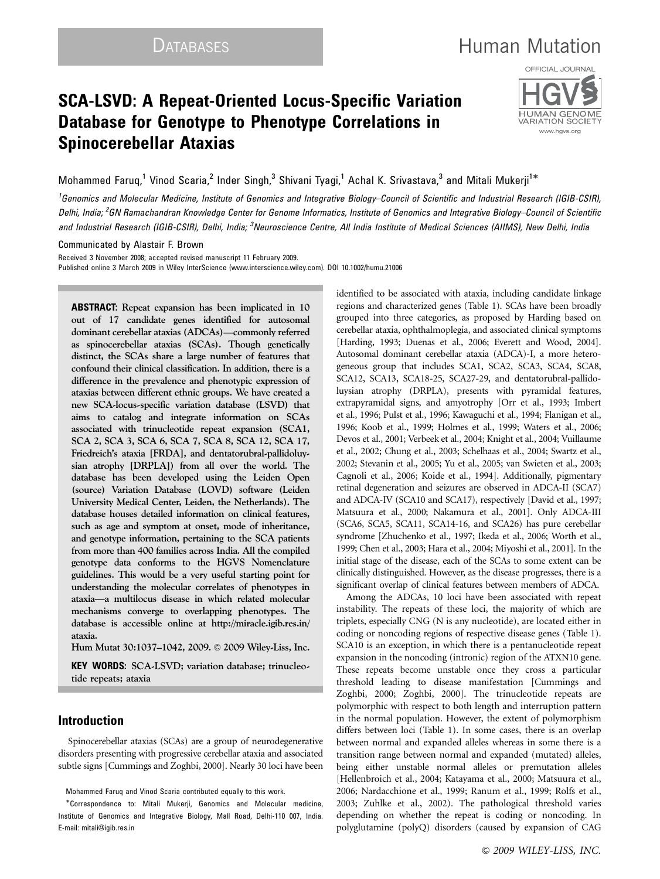# DATABASES **Human Mutation**

## SCA-LSVD: A Repeat-Oriented Locus-Specific Variation Database for Genotype to Phenotype Correlations in Spinocerebellar Ataxias



Mohammed Faruq,<sup>1</sup> Vinod Scaria,<sup>2</sup> Inder Singh,<sup>3</sup> Shivani Tyagi,<sup>1</sup> Achal K. Srivastava,<sup>3</sup> and Mitali Mukerji<sup>1\*</sup>

<sup>1</sup>Genomics and Molecular Medicine, Institute of Genomics and Integrative Biology–Council of Scientific and Industrial Research (IGIB-CSIR), Delhi, India; <sup>2</sup>GN Ramachandran Knowledge Center for Genome Informatics, Institute of Genomics and Integrative Biology–Council of Scientific and Industrial Research (IGIB-CSIR), Delhi, India; <sup>3</sup>Neuroscience Centre, All India Institute of Medical Sciences (AIIMS), New Delhi, India

Communicated by Alastair F. Brown

Received 3 November 2008; accepted revised manuscript 11 February 2009. Published online 3 March 2009 in Wiley InterScience (www.interscience.wiley.com). DOI 10.1002/humu.21006

ABSTRACT: Repeat expansion has been implicated in 10 out of 17 candidate genes identified for autosomal dominant cerebellar ataxias (ADCAs)—commonly referred as spinocerebellar ataxias (SCAs). Though genetically distinct, the SCAs share a large number of features that confound their clinical classification. In addition, there is a difference in the prevalence and phenotypic expression of ataxias between different ethnic groups. We have created a new SCA-locus-specific variation database (LSVD) that aims to catalog and integrate information on SCAs associated with trinucleotide repeat expansion (SCA1, SCA 2, SCA 3, SCA 6, SCA 7, SCA 8, SCA 12, SCA 17, Friedreich's ataxia [FRDA], and dentatorubral-pallidoluysian atrophy [DRPLA]) from all over the world. The database has been developed using the Leiden Open (source) Variation Database (LOVD) software (Leiden University Medical Center, Leiden, the Netherlands). The database houses detailed information on clinical features, such as age and symptom at onset, mode of inheritance, and genotype information, pertaining to the SCA patients from more than 400 families across India. All the compiled genotype data conforms to the HGVS Nomenclature guidelines. This would be a very useful starting point for understanding the molecular correlates of phenotypes in ataxia—a multilocus disease in which related molecular mechanisms converge to overlapping phenotypes. The database is accessible online at http://miracle.igib.res.in/ ataxia.

Hum Mutat 30:1037–1042, 2009. & 2009 Wiley-Liss, Inc.

KEY WORDS: SCA-LSVD; variation database; trinucleotide repeats; ataxia

### Introduction

Spinocerebellar ataxias (SCAs) are a group of neurodegenerative disorders presenting with progressive cerebellar ataxia and associated subtle signs [Cummings and Zoghbi, 2000]. Nearly 30 loci have been

Mohammed Faruq and Vinod Scaria contributed equally to this work.

identified to be associated with ataxia, including candidate linkage regions and characterized genes (Table 1). SCAs have been broadly grouped into three categories, as proposed by Harding based on cerebellar ataxia, ophthalmoplegia, and associated clinical symptoms [Harding, 1993; Duenas et al., 2006; Everett and Wood, 2004]. Autosomal dominant cerebellar ataxia (ADCA)-I, a more heterogeneous group that includes SCA1, SCA2, SCA3, SCA4, SCA8, SCA12, SCA13, SCA18-25, SCA27-29, and dentatorubral-pallidoluysian atrophy (DRPLA), presents with pyramidal features, extrapyramidal signs, and amyotrophy [Orr et al., 1993; Imbert et al., 1996; Pulst et al., 1996; Kawaguchi et al., 1994; Flanigan et al., 1996; Koob et al., 1999; Holmes et al., 1999; Waters et al., 2006; Devos et al., 2001; Verbeek et al., 2004; Knight et al., 2004; Vuillaume et al., 2002; Chung et al., 2003; Schelhaas et al., 2004; Swartz et al., 2002; Stevanin et al., 2005; Yu et al., 2005; van Swieten et al., 2003; Cagnoli et al., 2006; Koide et al., 1994]. Additionally, pigmentary retinal degeneration and seizures are observed in ADCA-II (SCA7) and ADCA-IV (SCA10 and SCA17), respectively [David et al., 1997; Matsuura et al., 2000; Nakamura et al., 2001]. Only ADCA-III (SCA6, SCA5, SCA11, SCA14-16, and SCA26) has pure cerebellar syndrome [Zhuchenko et al., 1997; Ikeda et al., 2006; Worth et al., 1999; Chen et al., 2003; Hara et al., 2004; Miyoshi et al., 2001]. In the initial stage of the disease, each of the SCAs to some extent can be clinically distinguished. However, as the disease progresses, there is a significant overlap of clinical features between members of ADCA.

Among the ADCAs, 10 loci have been associated with repeat instability. The repeats of these loci, the majority of which are triplets, especially CNG (N is any nucleotide), are located either in coding or noncoding regions of respective disease genes (Table 1). SCA10 is an exception, in which there is a pentanucleotide repeat expansion in the noncoding (intronic) region of the ATXN10 gene. These repeats become unstable once they cross a particular threshold leading to disease manifestation [Cummings and Zoghbi, 2000; Zoghbi, 2000]. The trinucleotide repeats are polymorphic with respect to both length and interruption pattern in the normal population. However, the extent of polymorphism differs between loci (Table 1). In some cases, there is an overlap between normal and expanded alleles whereas in some there is a transition range between normal and expanded (mutated) alleles, being either unstable normal alleles or premutation alleles [Hellenbroich et al., 2004; Katayama et al., 2000; Matsuura et al., 2006; Nardacchione et al., 1999; Ranum et al., 1999; Rolfs et al., 2003; Zuhlke et al., 2002). The pathological threshold varies depending on whether the repeat is coding or noncoding. In polyglutamine (polyQ) disorders (caused by expansion of CAG

<sup>-</sup> Correspondence to: Mitali Mukerji, Genomics and Molecular medicine, Institute of Genomics and Integrative Biology, Mall Road, Delhi-110 007, India. E-mail: mitali@igib.res.in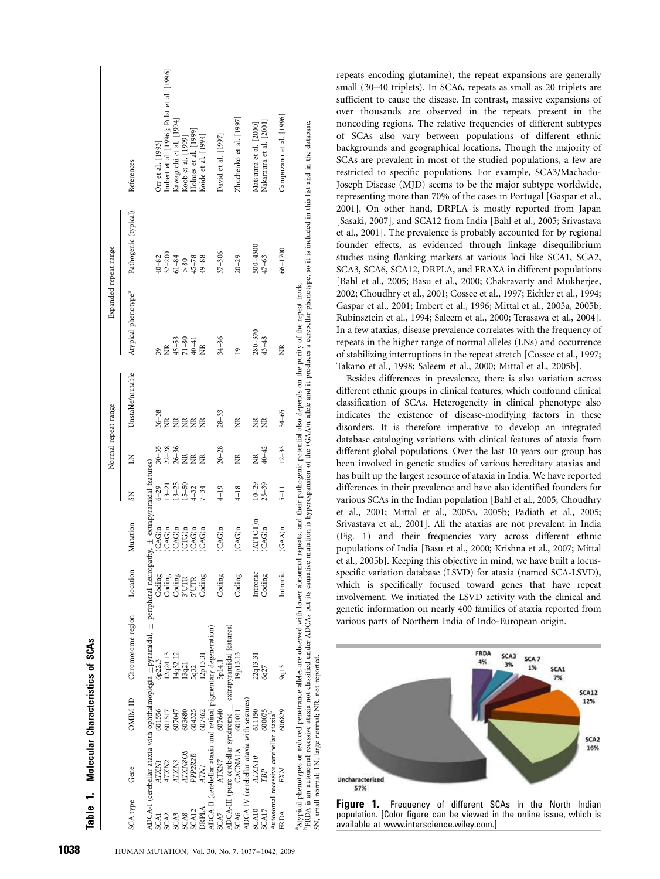|                  |                                                    |                                                       |                                                                                                                                                                                                                                                                                                                                                                                                              |          |                    |                                     | Normal repeat range         |                   | Expanded repeat range               |                      |                                           |
|------------------|----------------------------------------------------|-------------------------------------------------------|--------------------------------------------------------------------------------------------------------------------------------------------------------------------------------------------------------------------------------------------------------------------------------------------------------------------------------------------------------------------------------------------------------------|----------|--------------------|-------------------------------------|-----------------------------|-------------------|-------------------------------------|----------------------|-------------------------------------------|
| SCA type         | Gene                                               | OMIM ID                                               | Chromosome region                                                                                                                                                                                                                                                                                                                                                                                            | Location | Mutation           | $\overline{S}$                      | Ξ                           | Unstable/mutable  | Atypical phenotype <sup>a</sup>     | Pathogenic (typical) | References                                |
|                  |                                                    |                                                       | ADCA-I (cerebellar ataxia with ophthalmoplegia $\pm$ pyramidal, $\pm$ peripheral neuropathy, $\pm$ extrapyramidal features)                                                                                                                                                                                                                                                                                  |          |                    |                                     |                             |                   |                                     |                      |                                           |
| iCA1             | INXL                                               | 601556                                                | 6p22.3                                                                                                                                                                                                                                                                                                                                                                                                       | Coding   | $CAG$ <sub>n</sub> | $6 - 29$                            |                             | $36 - 38$         |                                     | $40 - 82$            | Orr et al. [1993]                         |
| SCA2             | ATXN2                                              | 601517                                                | 12q24.13                                                                                                                                                                                                                                                                                                                                                                                                     | Coding   | CAG)n              |                                     | $30 - 35$<br>22-28<br>26-36 | $\widetilde{\Xi}$ | $\widetilde{\Xi}$                   | $32 - 200$           | Imbert et al. [1996]; Pulst et al. [1996] |
| CA3              | ATXN3                                              | 607047                                                | 14q32.12                                                                                                                                                                                                                                                                                                                                                                                                     | Coding   | CAG)n              | $13 - 21$<br>$13 - 25$<br>$15 - 50$ |                             | ž                 |                                     | $61 - 84$            | Kawaguchi et al. [1994]                   |
| CA8              | ATXN8OS                                            | 603680                                                | 3q21                                                                                                                                                                                                                                                                                                                                                                                                         | 3'UTR    | $CTG$ n            |                                     | $\widetilde{\Xi}$           | g                 | $45 - 53$<br>$71 - 80$<br>$40 - 41$ | > 80                 | Koob et al. [1999]                        |
| CA <sub>12</sub> | PPP2R2B                                            | 604325                                                | 5q32                                                                                                                                                                                                                                                                                                                                                                                                         | 5'UTR    | CAG)n              | $1 - 32$                            | $\widetilde{\Xi}$           | Ĕ                 |                                     | $45 - 78$            | Holmes et al. [1999]                      |
| drpla            | <b>ATN1</b>                                        | 607462                                                | 12p13.31                                                                                                                                                                                                                                                                                                                                                                                                     | Coding   | CAG)n              | $7 - 34$                            | Ĕ                           | ž                 | $\widetilde{\Xi}$                   | $49 - 88$            | Koide et al. [1994]                       |
|                  |                                                    |                                                       | ADCA-II (cerebellar ataxia and retinal pigmentary degeneration)                                                                                                                                                                                                                                                                                                                                              |          |                    |                                     |                             |                   |                                     |                      |                                           |
| SCA7             | ATXN7                                              | 607640                                                | 3p14.1                                                                                                                                                                                                                                                                                                                                                                                                       | Coding   | $(CAG)$ n          | $4 - 19$                            | $20 - 28$                   | $28 - 33$         | $34 - 36$                           | $37 - 306$           | David et al. [1997]                       |
|                  |                                                    |                                                       | ADCA-III (pure cerebellar syndrome ± extrapyramidal features)                                                                                                                                                                                                                                                                                                                                                |          |                    |                                     |                             |                   |                                     |                      |                                           |
| SCA6             | CACNAIA                                            | 601011                                                | 19p13.13                                                                                                                                                                                                                                                                                                                                                                                                     | Coding   | (CAG)n             | $4 - 18$                            | $\widetilde{\Xi}$           | ž                 | $\overline{9}$                      | $20 - 29$            | Zhuchenko et al. [1997]                   |
|                  | ADCA-IV (cerebellar ataxia with seizures)          |                                                       |                                                                                                                                                                                                                                                                                                                                                                                                              |          |                    |                                     |                             |                   |                                     |                      |                                           |
| SCA10            | ATXN10                                             | 611150                                                | 22q13.31                                                                                                                                                                                                                                                                                                                                                                                                     | Intronic | ATTCT)n            | $10 - 29$                           | $\widetilde{\Xi}$           | Ĕ                 | $280 - 370$                         | 500-4500             | Matsuura et al. [2000]                    |
| SCA17            | TBP                                                | 600075                                                | 6q27                                                                                                                                                                                                                                                                                                                                                                                                         | Coding   | $(CAG)$ n          | $25 - 39$                           | $40 - 42$                   | Ĕ                 | $43 - 48$                           | $47 - 63$            | Nakamura et al. [2001]                    |
|                  | Autosomal recessive cerebellar ataxia <sup>b</sup> |                                                       |                                                                                                                                                                                                                                                                                                                                                                                                              |          |                    |                                     |                             |                   |                                     |                      |                                           |
| FRDA             | <b>FXN</b>                                         | 606829                                                | 9q13                                                                                                                                                                                                                                                                                                                                                                                                         | Intronic | $(GAA)$ n          | $5 - 11$                            | $12 - 33$                   | $34 - 65$         | Ĕ                                   | 66-1700              | Campuzano et al. [1996]                   |
|                  |                                                    | SN, small normal; LN, large normal; NR, not reported. | PFRDA is an autosomal recessive ataxia not classified under ADCAs but its causative mutation is hyperexpansion of the (GAA)n allele and it produces a cerebellar phenotype, so it is included in this list and in the database<br>Atypical phenotypes or reduced penetrance alleles are observed with lower abnormal repeats, and their pathogenic potential also depends on the purity of the repeat track. |          |                    |                                     |                             |                   |                                     |                      |                                           |

repeats encoding glutamine), the repeat expansions are generally small (30–40 triplets). In SCA6, repeats as small as 20 triplets are sufficient to cause the disease. In contrast, massive expansions of over thousands are observed in the repeats present in the noncoding regions. The relative frequencies of different subtypes of SCAs also vary between populations of different ethnic backgrounds and geographical locations. Though the majority of SCAs are prevalent in most of the studied populations, a few are restricted to specific populations. For example, SCA3/Machado-Joseph Disease (MJD) seems to be the major subtype worldwide, representing more than 70% of the cases in Portugal [Gaspar et al., 2001]. On other hand, DRPLA is mostly reported from Japan [Sasaki, 2007], and SCA12 from India [Bahl et al., 2005; Srivastava et al., 2001]. The prevalence is probably accounted for by regional founder effects, as evidenced through linkage disequilibrium studies using flanking markers at various loci like SCA1, SCA2, SCA3, SCA6, SCA12, DRPLA, and FRAXA in different populations [Bahl et al., 2005; Basu et al., 2000; Chakravarty and Mukherjee, 2002; Choudhry et al., 2001; Cossee et al., 1997; Eichler et al., 1994; Gaspar et al., 2001; Imbert et al., 1996; Mittal et al., 2005a, 2005b; Rubinsztein et al., 1994; Saleem et al., 2000; Terasawa et al., 2004]. In a few ataxias, disease prevalence correlates with the frequency of repeats in the higher range of normal alleles (LNs) and occurrence of stabilizing interruptions in the repeat stretch [Cossee et al., 1997; Takano et al., 1998; Saleem et al., 2000; Mittal et al., 2005b].

Besides differences in prevalence, there is also variation across different ethnic groups in clinical features, which confound clinical classification of SCAs. Heterogeneity in clinical phenotype also indicates the existence of disease-modifying factors in these disorders. It is therefore imperative to develop an integrated database cataloging variations with clinical features of ataxia from different global populations. Over the last 10 years our group has been involved in genetic studies of various hereditary ataxias and has built up the largest resource of ataxia in India. We have reported differences in their prevalence and have also identified founders for various SCAs in the Indian population [Bahl et al., 2005; Choudhry et al., 2001; Mittal et al., 2005a, 2005b; Padiath et al., 2005; Srivastava et al., 2001]. All the ataxias are not prevalent in India (Fig. 1) and their frequencies vary across different ethnic populations of India [Basu et al., 2000; Krishna et al., 2007; Mittal et al., 2005b]. Keeping this objective in mind, we have built a locusspecific variation database (LSVD) for ataxia (named SCA-LSVD), which is specifically focused toward genes that have repeat involvement. We initiated the LSVD activity with the clinical and genetic information on nearly 400 families of ataxia reported from various parts of Northern India of Indo-European origin.



Figure 1. Frequency of different SCAs in the North Indian population. [Color figure can be viewed in the online issue, which is available at www.interscience.wiley.com.]

Table 1. Molecular Characteristics of SCAs

 $\ddot{ }$ 

Table

Molecular Characteristics of SCAs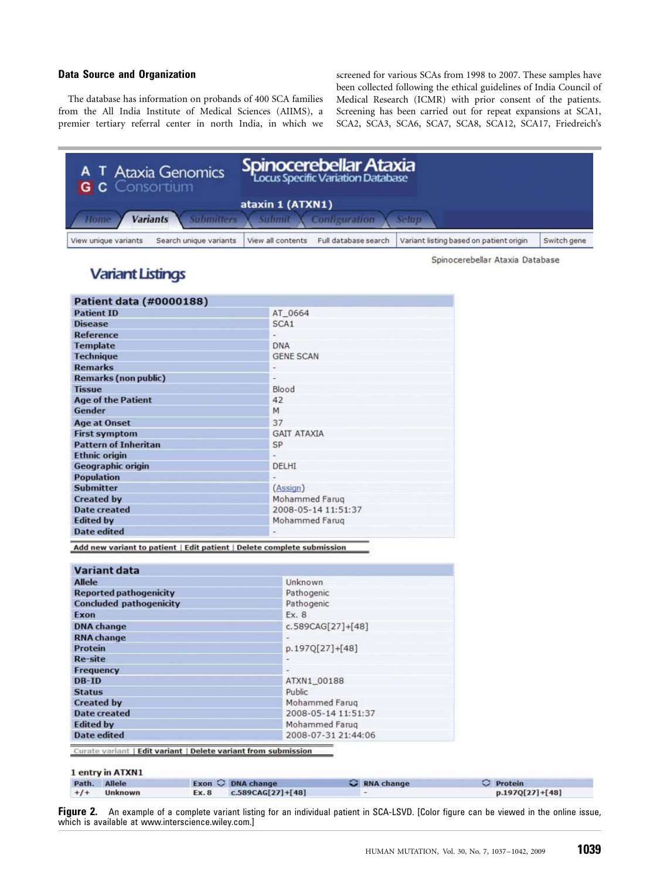### Data Source and Organization

The database has information on probands of 400 SCA families from the All India Institute of Medical Sciences (AIIMS), a premier tertiary referral center in north India, in which we

screened for various SCAs from 1998 to 2007. These samples have been collected following the ethical guidelines of India Council of Medical Research (ICMR) with prior consent of the patients. Screening has been carried out for repeat expansions at SCA1, SCA2, SCA3, SCA6, SCA7, SCA8, SCA12, SCA17, Friedreich's

| A T Ataxia Genomics<br><b>G C</b> Consortium   | <b>Spinocerebellar Ataxia</b><br>Locus Specific Variation Database |                                         |             |
|------------------------------------------------|--------------------------------------------------------------------|-----------------------------------------|-------------|
|                                                | ataxin 1 (ATXN1)                                                   |                                         |             |
| <b>Variants</b><br>Home                        | Submitters X Submit X Configuration                                | <b>Setup</b>                            |             |
| Search unique variants<br>View unique variants | View all contents<br>Full database search                          | Variant listing based on patient origin | Switch gene |

Spinocerebellar Ataxia Database

## **Variant Listings**

| <b>Patient data (#0000188)</b> |                          |
|--------------------------------|--------------------------|
| <b>Patient ID</b>              | AT 0664                  |
| <b>Disease</b>                 | SCA1                     |
| Reference                      |                          |
| <b>Template</b>                | <b>DNA</b>               |
| <b>Technique</b>               | <b>GENE SCAN</b>         |
| <b>Remarks</b>                 |                          |
| <b>Remarks (non public)</b>    |                          |
| <b>Tissue</b>                  | Blood                    |
| <b>Age of the Patient</b>      | 42                       |
| Gender                         | M                        |
| <b>Age at Onset</b>            | 37                       |
| <b>First symptom</b>           | <b>GAIT ATAXIA</b>       |
| <b>Pattern of Inheritan</b>    | SP                       |
| <b>Ethnic origin</b>           |                          |
| <b>Geographic origin</b>       | DELHI                    |
| <b>Population</b>              |                          |
| <b>Submitter</b>               | (Assign)                 |
| <b>Created by</b>              | Mohammed Farug           |
| <b>Date created</b>            | 2008-05-14 11:51:37      |
| <b>Edited by</b>               | Mohammed Farug           |
| <b>Date edited</b>             | $\overline{\phantom{0}}$ |

Add new variant to patient | Edit patient | Delete complete submission

| <b>Variant data</b>            |                     |
|--------------------------------|---------------------|
| <b>Allele</b>                  | Unknown             |
| <b>Reported pathogenicity</b>  | Pathogenic          |
| <b>Concluded pathogenicity</b> | Pathogenic          |
| Exon                           | Ex. 8               |
| <b>DNA</b> change              | c.589CAG[27]+[48]   |
| <b>RNA</b> change              |                     |
| Protein                        | p.197Q[27]+[48]     |
| Re-site                        |                     |
| Frequency                      | ×                   |
| DB-ID                          | ATXN1_00188         |
| <b>Status</b>                  | Public              |
| <b>Created by</b>              | Mohammed Farug      |
| <b>Date created</b>            | 2008-05-14 11:51:37 |
| <b>Edited by</b>               | Mohammed Farug      |
| <b>Date edited</b>             | 2008-07-31 21:44:06 |

Curate variant | Edit variant | Delete variant from submission

#### 1 entry in ATXN1

| Path. Allele |         | $Exon$ $\bigcirc$ DNA change | C RNA change | C Protein         |
|--------------|---------|------------------------------|--------------|-------------------|
| $+1+$        | Unknown | Ex. 8 $C.589CAG[27]+[48]$    |              | $p.197Q[27]+[48]$ |

Figure 2. An example of a complete variant listing for an individual patient in SCA-LSVD. [Color figure can be viewed in the online issue, which is available at www.interscience.wiley.com.]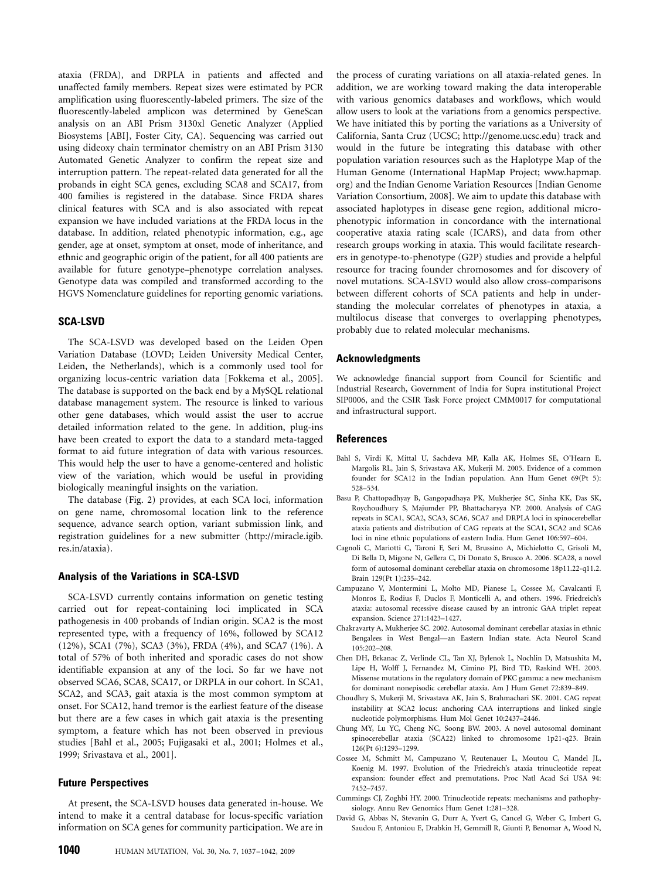ataxia (FRDA), and DRPLA in patients and affected and unaffected family members. Repeat sizes were estimated by PCR amplification using fluorescently-labeled primers. The size of the fluorescently-labeled amplicon was determined by GeneScan analysis on an ABI Prism 3130xl Genetic Analyzer (Applied Biosystems [ABI], Foster City, CA). Sequencing was carried out using dideoxy chain terminator chemistry on an ABI Prism 3130 Automated Genetic Analyzer to confirm the repeat size and interruption pattern. The repeat-related data generated for all the probands in eight SCA genes, excluding SCA8 and SCA17, from 400 families is registered in the database. Since FRDA shares clinical features with SCA and is also associated with repeat expansion we have included variations at the FRDA locus in the database. In addition, related phenotypic information, e.g., age gender, age at onset, symptom at onset, mode of inheritance, and ethnic and geographic origin of the patient, for all 400 patients are available for future genotype–phenotype correlation analyses. Genotype data was compiled and transformed according to the HGVS Nomenclature guidelines for reporting genomic variations.

#### SCA-LSVD

The SCA-LSVD was developed based on the Leiden Open Variation Database (LOVD; Leiden University Medical Center, Leiden, the Netherlands), which is a commonly used tool for organizing locus-centric variation data [Fokkema et al., 2005]. The database is supported on the back end by a MySQL relational database management system. The resource is linked to various other gene databases, which would assist the user to accrue detailed information related to the gene. In addition, plug-ins have been created to export the data to a standard meta-tagged format to aid future integration of data with various resources. This would help the user to have a genome-centered and holistic view of the variation, which would be useful in providing biologically meaningful insights on the variation.

The database (Fig. 2) provides, at each SCA loci, information on gene name, chromosomal location link to the reference sequence, advance search option, variant submission link, and registration guidelines for a new submitter (http://miracle.igib. res.in/ataxia).

#### Analysis of the Variations in SCA-LSVD

SCA-LSVD currently contains information on genetic testing carried out for repeat-containing loci implicated in SCA pathogenesis in 400 probands of Indian origin. SCA2 is the most represented type, with a frequency of 16%, followed by SCA12 (12%), SCA1 (7%), SCA3 (3%), FRDA (4%), and SCA7 (1%). A total of 57% of both inherited and sporadic cases do not show identifiable expansion at any of the loci. So far we have not observed SCA6, SCA8, SCA17, or DRPLA in our cohort. In SCA1, SCA2, and SCA3, gait ataxia is the most common symptom at onset. For SCA12, hand tremor is the earliest feature of the disease but there are a few cases in which gait ataxia is the presenting symptom, a feature which has not been observed in previous studies [Bahl et al., 2005; Fujigasaki et al., 2001; Holmes et al., 1999; Srivastava et al., 2001].

#### Future Perspectives

At present, the SCA-LSVD houses data generated in-house. We intend to make it a central database for locus-specific variation information on SCA genes for community participation. We are in

the process of curating variations on all ataxia-related genes. In addition, we are working toward making the data interoperable with various genomics databases and workflows, which would allow users to look at the variations from a genomics perspective. We have initiated this by porting the variations as a University of California, Santa Cruz (UCSC; http://genome.ucsc.edu) track and would in the future be integrating this database with other population variation resources such as the Haplotype Map of the Human Genome (International HapMap Project; www.hapmap. org) and the Indian Genome Variation Resources [Indian Genome Variation Consortium, 2008]. We aim to update this database with associated haplotypes in disease gene region, additional microphenotypic information in concordance with the international cooperative ataxia rating scale (ICARS), and data from other research groups working in ataxia. This would facilitate researchers in genotype-to-phenotype (G2P) studies and provide a helpful resource for tracing founder chromosomes and for discovery of novel mutations. SCA-LSVD would also allow cross-comparisons between different cohorts of SCA patients and help in understanding the molecular correlates of phenotypes in ataxia, a multilocus disease that converges to overlapping phenotypes, probably due to related molecular mechanisms.

#### Acknowledgments

We acknowledge financial support from Council for Scientific and Industrial Research, Government of India for Supra institutional Project SIP0006, and the CSIR Task Force project CMM0017 for computational and infrastructural support.

#### References

- Bahl S, Virdi K, Mittal U, Sachdeva MP, Kalla AK, Holmes SE, O'Hearn E, Margolis RL, Jain S, Srivastava AK, Mukerji M. 2005. Evidence of a common founder for SCA12 in the Indian population. Ann Hum Genet 69(Pt 5): 528–534.
- Basu P, Chattopadhyay B, Gangopadhaya PK, Mukherjee SC, Sinha KK, Das SK, Roychoudhury S, Majumder PP, Bhattacharyya NP. 2000. Analysis of CAG repeats in SCA1, SCA2, SCA3, SCA6, SCA7 and DRPLA loci in spinocerebellar ataxia patients and distribution of CAG repeats at the SCA1, SCA2 and SCA6 loci in nine ethnic populations of eastern India. Hum Genet 106:597–604.
- Cagnoli C, Mariotti C, Taroni F, Seri M, Brussino A, Michielotto C, Grisoli M, Di Bella D, Migone N, Gellera C, Di Donato S, Brusco A. 2006. SCA28, a novel form of autosomal dominant cerebellar ataxia on chromosome 18p11.22-q11.2. Brain 129(Pt 1):235–242.
- Campuzano V, Montermini L, Molto MD, Pianese L, Cossee M, Cavalcanti F, Monros E, Rodius F, Duclos F, Monticelli A, and others. 1996. Friedreich's ataxia: autosomal recessive disease caused by an intronic GAA triplet repeat expansion. Science 271:1423–1427.
- Chakravarty A, Mukherjee SC. 2002. Autosomal dominant cerebellar ataxias in ethnic Bengalees in West Bengal—an Eastern Indian state. Acta Neurol Scand 105:202–208.
- Chen DH, Brkanac Z, Verlinde CL, Tan XJ, Bylenok L, Nochlin D, Matsushita M, Lipe H, Wolff J, Fernandez M, Cimino PJ, Bird TD, Raskind WH. 2003. Missense mutations in the regulatory domain of PKC gamma: a new mechanism for dominant nonepisodic cerebellar ataxia. Am J Hum Genet 72:839–849.
- Choudhry S, Mukerji M, Srivastava AK, Jain S, Brahmachari SK. 2001. CAG repeat instability at SCA2 locus: anchoring CAA interruptions and linked single nucleotide polymorphisms. Hum Mol Genet 10:2437–2446.
- Chung MY, Lu YC, Cheng NC, Soong BW. 2003. A novel autosomal dominant spinocerebellar ataxia (SCA22) linked to chromosome 1p21-q23. Brain 126(Pt 6):1293–1299.
- Cossee M, Schmitt M, Campuzano V, Reutenauer L, Moutou C, Mandel JL, Koenig M. 1997. Evolution of the Friedreich's ataxia trinucleotide repeat expansion: founder effect and premutations. Proc Natl Acad Sci USA 94: 7452–7457.
- Cummings CJ, Zoghbi HY. 2000. Trinucleotide repeats: mechanisms and pathophysiology. Annu Rev Genomics Hum Genet 1:281–328.
- David G, Abbas N, Stevanin G, Durr A, Yvert G, Cancel G, Weber C, Imbert G, Saudou F, Antoniou E, Drabkin H, Gemmill R, Giunti P, Benomar A, Wood N,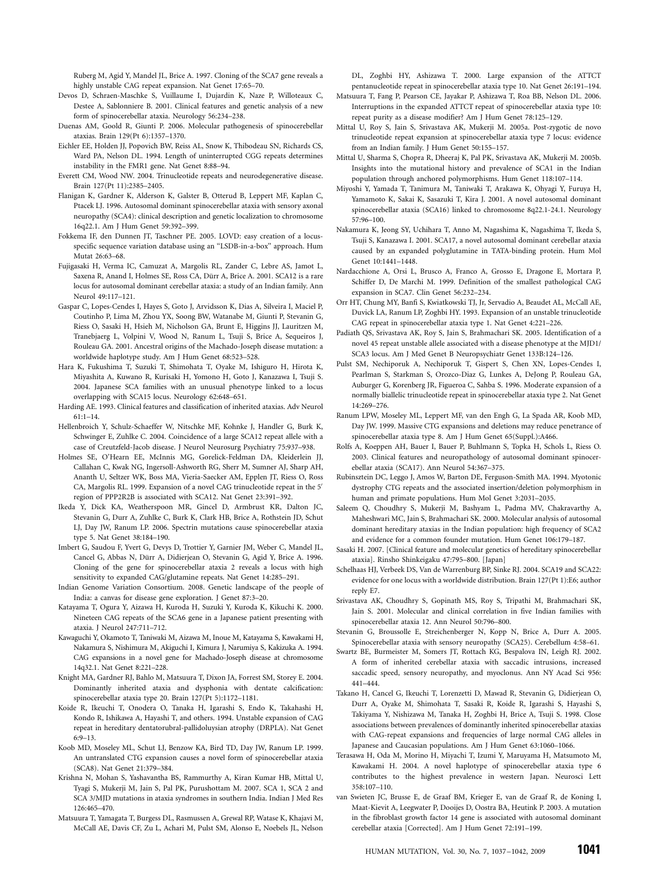Ruberg M, Agid Y, Mandel JL, Brice A. 1997. Cloning of the SCA7 gene reveals a highly unstable CAG repeat expansion. Nat Genet 17:65–70.

- Devos D, Schraen-Maschke S, Vuillaume I, Dujardin K, Naze P, Willoteaux C, Destee A, Sablonniere B. 2001. Clinical features and genetic analysis of a new form of spinocerebellar ataxia. Neurology 56:234–238.
- Duenas AM, Goold R, Giunti P. 2006. Molecular pathogenesis of spinocerebellar ataxias. Brain 129(Pt 6):1357–1370.
- Eichler EE, Holden JJ, Popovich BW, Reiss AL, Snow K, Thibodeau SN, Richards CS, Ward PA, Nelson DL. 1994. Length of uninterrupted CGG repeats determines instability in the FMR1 gene. Nat Genet 8:88–94.
- Everett CM, Wood NW. 2004. Trinucleotide repeats and neurodegenerative disease. Brain 127(Pt 11):2385–2405.
- Flanigan K, Gardner K, Alderson K, Galster B, Otterud B, Leppert MF, Kaplan C, Ptacek LJ. 1996. Autosomal dominant spinocerebellar ataxia with sensory axonal neuropathy (SCA4): clinical description and genetic localization to chromosome 16q22.1. Am J Hum Genet 59:392–399.
- Fokkema IF, den Dunnen JT, Taschner PE. 2005. LOVD: easy creation of a locusspecific sequence variation database using an ''LSDB-in-a-box'' approach. Hum Mutat 26:63–68.
- Fujigasaki H, Verma IC, Camuzat A, Margolis RL, Zander C, Lebre AS, Jamot L, Saxena R, Anand I, Holmes SE, Ross CA, Dürr A, Brice A. 2001. SCA12 is a rare locus for autosomal dominant cerebellar ataxia: a study of an Indian family. Ann Neurol 49:117–121.
- Gaspar C, Lopes-Cendes I, Hayes S, Goto J, Arvidsson K, Dias A, Silveira I, Maciel P, Coutinho P, Lima M, Zhou YX, Soong BW, Watanabe M, Giunti P, Stevanin G, Riess O, Sasaki H, Hsieh M, Nicholson GA, Brunt E, Higgins JJ, Lauritzen M, Tranebjaerg L, Volpini V, Wood N, Ranum L, Tsuji S, Brice A, Sequeiros J, Rouleau GA. 2001. Ancestral origins of the Machado-Joseph disease mutation: a worldwide haplotype study. Am J Hum Genet 68:523–528.
- Hara K, Fukushima T, Suzuki T, Shimohata T, Oyake M, Ishiguro H, Hirota K, Miyashita A, Kuwano R, Kurisaki H, Yomono H, Goto J, Kanazawa I, Tsuji S. 2004. Japanese SCA families with an unusual phenotype linked to a locus overlapping with SCA15 locus. Neurology 62:648–651.
- Harding AE. 1993. Clinical features and classification of inherited ataxias. Adv Neurol  $61 \cdot 1 - 14$
- Hellenbroich Y, Schulz-Schaeffer W, Nitschke MF, Kohnke J, Handler G, Burk K, Schwinger E, Zuhlke C. 2004. Coincidence of a large SCA12 repeat allele with a case of Creutzfeld-Jacob disease. J Neurol Neurosurg Psychiatry 75:937–938.
- Holmes SE, O'Hearn EE, McInnis MG, Gorelick-Feldman DA, Kleiderlein JJ, Callahan C, Kwak NG, Ingersoll-Ashworth RG, Sherr M, Sumner AJ, Sharp AH, Ananth U, Seltzer WK, Boss MA, Vieria-Saecker AM, Epplen JT, Riess O, Ross CA, Margolis RL. 1999. Expansion of a novel CAG trinucleotide repeat in the 5' region of PPP2R2B is associated with SCA12. Nat Genet 23:391–392.
- Ikeda Y, Dick KA, Weatherspoon MR, Gincel D, Armbrust KR, Dalton JC, Stevanin G, Durr A, Zuhlke C, Burk K, Clark HB, Brice A, Rothstein JD, Schut LJ, Day JW, Ranum LP. 2006. Spectrin mutations cause spinocerebellar ataxia type 5. Nat Genet 38:184–190.
- Imbert G, Saudou F, Yvert G, Devys D, Trottier Y, Garnier JM, Weber C, Mandel JL, Cancel G, Abbas N, Dürr A, Didieriean O, Stevanin G, Agid Y, Brice A, 1996. Cloning of the gene for spinocerebellar ataxia 2 reveals a locus with high sensitivity to expanded CAG/glutamine repeats. Nat Genet 14:285–291.
- Indian Genome Variation Consortium. 2008. Genetic landscape of the people of India: a canvas for disease gene exploration. J Genet 87:3–20.
- Katayama T, Ogura Y, Aizawa H, Kuroda H, Suzuki Y, Kuroda K, Kikuchi K. 2000. Nineteen CAG repeats of the SCA6 gene in a Japanese patient presenting with ataxia. J Neurol 247:711–712.
- Kawaguchi Y, Okamoto T, Taniwaki M, Aizawa M, Inoue M, Katayama S, Kawakami H, Nakamura S, Nishimura M, Akiguchi I, Kimura J, Narumiya S, Kakizuka A. 1994. CAG expansions in a novel gene for Machado-Joseph disease at chromosome 14q32.1. Nat Genet 8:221–228.
- Knight MA, Gardner RJ, Bahlo M, Matsuura T, Dixon JA, Forrest SM, Storey E. 2004. Dominantly inherited ataxia and dysphonia with dentate calcification: spinocerebellar ataxia type 20. Brain 127(Pt 5):1172–1181.
- Koide R, Ikeuchi T, Onodera O, Tanaka H, Igarashi S, Endo K, Takahashi H, Kondo R, Ishikawa A, Hayashi T, and others. 1994. Unstable expansion of CAG repeat in hereditary dentatorubral-pallidoluysian atrophy (DRPLA). Nat Genet 6:9–13.
- Koob MD, Moseley ML, Schut LJ, Benzow KA, Bird TD, Day JW, Ranum LP. 1999. An untranslated CTG expansion causes a novel form of spinocerebellar ataxia (SCA8). Nat Genet 21:379–384.
- Krishna N, Mohan S, Yashavantha BS, Rammurthy A, Kiran Kumar HB, Mittal U, Tyagi S, Mukerji M, Jain S, Pal PK, Purushottam M. 2007. SCA 1, SCA 2 and SCA 3/MJD mutations in ataxia syndromes in southern India. Indian J Med Res 126:465–470.
- Matsuura T, Yamagata T, Burgess DL, Rasmussen A, Grewal RP, Watase K, Khajavi M, McCall AE, Davis CF, Zu L, Achari M, Pulst SM, Alonso E, Noebels JL, Nelson

DL, Zoghbi HY, Ashizawa T. 2000. Large expansion of the ATTCT pentanucleotide repeat in spinocerebellar ataxia type 10. Nat Genet 26:191–194.

- Matsuura T, Fang P, Pearson CE, Jayakar P, Ashizawa T, Roa BB, Nelson DL. 2006. Interruptions in the expanded ATTCT repeat of spinocerebellar ataxia type 10: repeat purity as a disease modifier? Am J Hum Genet 78:125–129.
- Mittal U, Roy S, Jain S, Srivastava AK, Mukerji M. 2005a. Post-zygotic de novo trinucleotide repeat expansion at spinocerebellar ataxia type 7 locus: evidence from an Indian family. J Hum Genet 50:155–157.
- Mittal U, Sharma S, Chopra R, Dheeraj K, Pal PK, Srivastava AK, Mukerji M. 2005b. Insights into the mutational history and prevalence of SCA1 in the Indian population through anchored polymorphisms. Hum Genet 118:107–114.
- Miyoshi Y, Yamada T, Tanimura M, Taniwaki T, Arakawa K, Ohyagi Y, Furuya H, Yamamoto K, Sakai K, Sasazuki T, Kira J. 2001. A novel autosomal dominant spinocerebellar ataxia (SCA16) linked to chromosome 8q22.1-24.1. Neurology 57:96–100.
- Nakamura K, Jeong SY, Uchihara T, Anno M, Nagashima K, Nagashima T, Ikeda S, Tsuji S, Kanazawa I. 2001. SCA17, a novel autosomal dominant cerebellar ataxia caused by an expanded polyglutamine in TATA-binding protein. Hum Mol Genet 10:1441–1448.
- Nardacchione A, Orsi L, Brusco A, Franco A, Grosso E, Dragone E, Mortara P, Schiffer D, De Marchi M. 1999. Definition of the smallest pathological CAG expansion in SCA7. Clin Genet 56:232–234.
- Orr HT, Chung MY, Banfi S, Kwiatkowski TJ, Jr, Servadio A, Beaudet AL, McCall AE, Duvick LA, Ranum LP, Zoghbi HY. 1993. Expansion of an unstable trinucleotide CAG repeat in spinocerebellar ataxia type 1. Nat Genet 4:221–226.
- Padiath QS, Srivastava AK, Roy S, Jain S, Brahmachari SK. 2005. Identification of a novel 45 repeat unstable allele associated with a disease phenotype at the MJD1/ SCA3 locus. Am J Med Genet B Neuropsychiatr Genet 133B:124–126.
- Pulst SM, Nechiporuk A, Nechiporuk T, Gispert S, Chen XN, Lopes-Cendes I, Pearlman S, Starkman S, Orozco-Diaz G, Lunkes A, DeJong P, Rouleau GA, Auburger G, Korenberg JR, Figueroa C, Sahba S. 1996. Moderate expansion of a normally biallelic trinucleotide repeat in spinocerebellar ataxia type 2. Nat Genet 14:269–276.
- Ranum LPW, Moseley ML, Leppert MF, van den Engh G, La Spada AR, Koob MD, Day JW. 1999. Massive CTG expansions and deletions may reduce penetrance of spinocerebellar ataxia type 8. Am J Hum Genet 65(Suppl.):A466.
- Rolfs A, Koeppen AH, Bauer I, Bauer P, Buhlmann S, Topka H, Schols L, Riess O. 2003. Clinical features and neuropathology of autosomal dominant spinocerebellar ataxia (SCA17). Ann Neurol 54:367–375.
- Rubinsztein DC, Leggo J, Amos W, Barton DE, Ferguson-Smith MA. 1994. Myotonic dystrophy CTG repeats and the associated insertion/deletion polymorphism in human and primate populations. Hum Mol Genet 3:2031–2035.
- Saleem Q, Choudhry S, Mukerji M, Bashyam L, Padma MV, Chakravarthy A, Maheshwari MC, Jain S, Brahmachari SK. 2000. Molecular analysis of autosomal dominant hereditary ataxias in the Indian population: high frequency of SCA2 and evidence for a common founder mutation. Hum Genet 106:179–187.
- Sasaki H. 2007. [Clinical feature and molecular genetics of hereditary spinocerebellar ataxia]. Rinsho Shinkeigaku 47:795–800. [Japan]
- Schelhaas HJ, Verbeek DS, Van de Warrenburg BP, Sinke RJ. 2004. SCA19 and SCA22: evidence for one locus with a worldwide distribution. Brain 127(Pt 1):E6; author reply E7.
- Srivastava AK, Choudhry S, Gopinath MS, Roy S, Tripathi M, Brahmachari SK, Jain S. 2001. Molecular and clinical correlation in five Indian families with spinocerebellar ataxia 12. Ann Neurol 50:796–800.
- Stevanin G, Broussolle E, Streichenberger N, Kopp N, Brice A, Durr A. 2005. Spinocerebellar ataxia with sensory neuropathy (SCA25). Cerebellum 4:58–61.
- Swartz BE, Burmeister M, Somers JT, Rottach KG, Bespalova IN, Leigh RJ. 2002. A form of inherited cerebellar ataxia with saccadic intrusions, increased saccadic speed, sensory neuropathy, and myoclonus. Ann NY Acad Sci 956: 441–444.
- Takano H, Cancel G, Ikeuchi T, Lorenzetti D, Mawad R, Stevanin G, Didierjean O, Durr A, Oyake M, Shimohata T, Sasaki R, Koide R, Igarashi S, Hayashi S, Takiyama Y, Nishizawa M, Tanaka H, Zoghbi H, Brice A, Tsuji S. 1998. Close associations between prevalences of dominantly inherited spinocerebellar ataxias with CAG-repeat expansions and frequencies of large normal CAG alleles in Japanese and Caucasian populations. Am J Hum Genet 63:1060–1066.
- Terasawa H, Oda M, Morino H, Miyachi T, Izumi Y, Maruyama H, Matsumoto M, Kawakami H. 2004. A novel haplotype of spinocerebellar ataxia type 6 contributes to the highest prevalence in western Japan. Neurosci Lett 358:107–110.
- van Swieten JC, Brusse E, de Graaf BM, Krieger E, van de Graaf R, de Koning I, Maat-Kievit A, Leegwater P, Dooijes D, Oostra BA, Heutink P. 2003. A mutation in the fibroblast growth factor 14 gene is associated with autosomal dominant cerebellar ataxia [Corrected]. Am J Hum Genet 72:191–199.